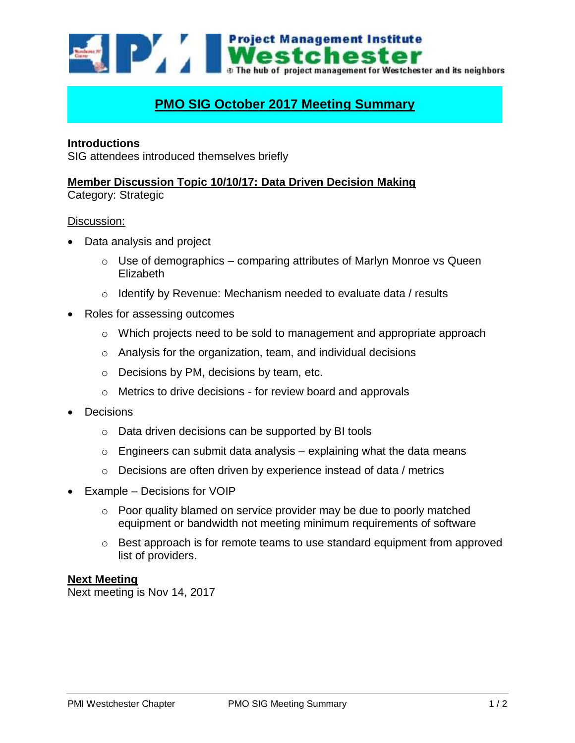**EDAY IN Project Management Institute** lchester **D** The hub of project management for Westchester and its neighbors

# **PMO SIG October 2017 Meeting Summary**

## **Introductions**

SIG attendees introduced themselves briefly

## **Member Discussion Topic 10/10/17: Data Driven Decision Making**

Category: Strategic

#### Discussion:

- Data analysis and project
	- $\circ$  Use of demographics comparing attributes of Marlyn Monroe vs Queen Elizabeth
	- $\circ$  Identify by Revenue: Mechanism needed to evaluate data / results
- Roles for assessing outcomes
	- $\circ$  Which projects need to be sold to management and appropriate approach
	- o Analysis for the organization, team, and individual decisions
	- o Decisions by PM, decisions by team, etc.
	- o Metrics to drive decisions for review board and approvals
- Decisions
	- o Data driven decisions can be supported by BI tools
	- $\circ$  Engineers can submit data analysis explaining what the data means
	- o Decisions are often driven by experience instead of data / metrics
- Example Decisions for VOIP
	- o Poor quality blamed on service provider may be due to poorly matched equipment or bandwidth not meeting minimum requirements of software
	- o Best approach is for remote teams to use standard equipment from approved list of providers.

#### **Next Meeting**

Next meeting is Nov 14, 2017